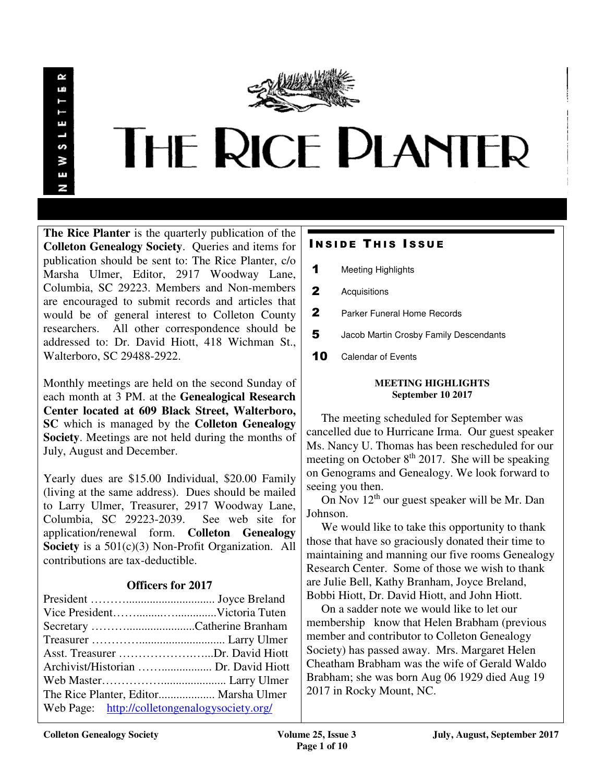

**The Rice Planter** is the quarterly publication of the **Colleton Genealogy Society**. Queries and items for publication should be sent to: The Rice Planter, c/o Marsha Ulmer, Editor, 2917 Woodway Lane, Columbia, SC 29223. Members and Non-members are encouraged to submit records and articles that would be of general interest to Colleton County researchers. All other correspondence should be addressed to: Dr. David Hiott, 418 Wichman St., Walterboro, SC 29488-2922.

Monthly meetings are held on the second Sunday of each month at 3 PM. at the **Genealogical Research Center located at 609 Black Street, Walterboro, SC** which is managed by the **Colleton Genealogy Society**. Meetings are not held during the months of July, August and December.

Yearly dues are \$15.00 Individual, \$20.00 Family (living at the same address). Dues should be mailed to Larry Ulmer, Treasurer, 2917 Woodway Lane, Columbia, SC 29223-2039. See web site for application/renewal form. **Colleton Genealogy Society** is a 501(c)(3) Non-Profit Organization. All contributions are tax-deductible.

# **Officers for 2017**

| Asst. Treasurer Dr. David Hiott               |  |
|-----------------------------------------------|--|
|                                               |  |
|                                               |  |
| The Rice Planter, Editor Marsha Ulmer         |  |
| Web Page: http://colletongenalogysociety.org/ |  |

# **INSIDE THIS ISSUE**

- 1 Meeting Highlights
- 2 Acquisitions
- 2 Parker Funeral Home Records
- 5 Jacob Martin Crosby Family Descendants
- 10 Calendar of Events

## **MEETING HIGHLIGHTS September 10 2017**

 The meeting scheduled for September was cancelled due to Hurricane Irma. Our guest speaker Ms. Nancy U. Thomas has been rescheduled for our meeting on October  $8<sup>th</sup>$  2017. She will be speaking on Genograms and Genealogy. We look forward to seeing you then.

 On Nov 12th our guest speaker will be Mr. Dan Johnson.

We would like to take this opportunity to thank those that have so graciously donated their time to maintaining and manning our five rooms Genealogy Research Center. Some of those we wish to thank are Julie Bell, Kathy Branham, Joyce Breland, Bobbi Hiott, Dr. David Hiott, and John Hiott.

 On a sadder note we would like to let our membership know that Helen Brabham (previous member and contributor to Colleton Genealogy Society) has passed away. Mrs. Margaret Helen Cheatham Brabham was the wife of Gerald Waldo Brabham; she was born Aug 06 1929 died Aug 19 2017 in Rocky Mount, NC.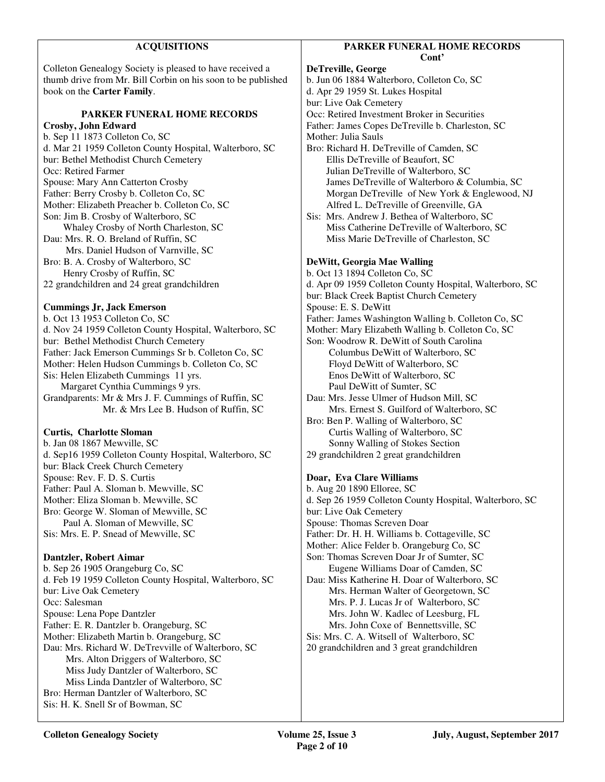| <b>ACQUISITIONS</b>                                                            | PARKER FUNERAL HOME RECORDS                             |
|--------------------------------------------------------------------------------|---------------------------------------------------------|
|                                                                                | Cont'                                                   |
| Colleton Genealogy Society is pleased to have received a                       | DeTreville, George                                      |
| thumb drive from Mr. Bill Corbin on his soon to be published                   | b. Jun 06 1884 Walterboro, Colleton Co, SC              |
| book on the Carter Family.                                                     | d. Apr 29 1959 St. Lukes Hospital                       |
|                                                                                | bur: Live Oak Cemetery                                  |
| PARKER FUNERAL HOME RECORDS                                                    | Occ: Retired Investment Broker in Securities            |
| Crosby, John Edward                                                            | Father: James Copes DeTreville b. Charleston, SC        |
| b. Sep 11 1873 Colleton Co, SC                                                 | Mother: Julia Sauls                                     |
| d. Mar 21 1959 Colleton County Hospital, Walterboro, SC                        | Bro: Richard H. DeTreville of Camden, SC                |
| bur: Bethel Methodist Church Cemetery                                          | Ellis DeTreville of Beaufort, SC                        |
| Occ: Retired Farmer                                                            | Julian DeTreville of Walterboro, SC                     |
| Spouse: Mary Ann Catterton Crosby                                              | James DeTreville of Walterboro & Columbia, SC           |
| Father: Berry Crosby b. Colleton Co, SC                                        | Morgan DeTreville of New York & Englewood, NJ           |
| Mother: Elizabeth Preacher b. Colleton Co, SC                                  | Alfred L. DeTreville of Greenville, GA                  |
| Son: Jim B. Crosby of Walterboro, SC                                           | Sis: Mrs. Andrew J. Bethea of Walterboro, SC            |
| Whaley Crosby of North Charleston, SC                                          | Miss Catherine DeTreville of Walterboro, SC             |
| Dau: Mrs. R. O. Breland of Ruffin, SC                                          | Miss Marie DeTreville of Charleston, SC                 |
| Mrs. Daniel Hudson of Varnville, SC                                            |                                                         |
| Bro: B. A. Crosby of Walterboro, SC                                            | DeWitt, Georgia Mae Walling                             |
| Henry Crosby of Ruffin, SC                                                     | b. Oct 13 1894 Colleton Co, SC                          |
| 22 grandchildren and 24 great grandchildren                                    | d. Apr 09 1959 Colleton County Hospital, Walterboro, SC |
|                                                                                | bur: Black Creek Baptist Church Cemetery                |
| <b>Cummings Jr, Jack Emerson</b>                                               | Spouse: E. S. DeWitt                                    |
| b. Oct 13 1953 Colleton Co, SC                                                 | Father: James Washington Walling b. Colleton Co, SC     |
| d. Nov 24 1959 Colleton County Hospital, Walterboro, SC                        | Mother: Mary Elizabeth Walling b. Colleton Co, SC       |
| bur: Bethel Methodist Church Cemetery                                          | Son: Woodrow R. DeWitt of South Carolina                |
| Father: Jack Emerson Cummings Sr b. Colleton Co, SC                            | Columbus DeWitt of Walterboro, SC                       |
| Mother: Helen Hudson Cummings b. Colleton Co, SC                               | Floyd DeWitt of Walterboro, SC                          |
| Sis: Helen Elizabeth Cummings 11 yrs.                                          | Enos DeWitt of Walterboro, SC                           |
| Margaret Cynthia Cummings 9 yrs.                                               | Paul DeWitt of Sumter, SC                               |
| Grandparents: Mr & Mrs J. F. Cummings of Ruffin, SC                            | Dau: Mrs. Jesse Ulmer of Hudson Mill, SC                |
| Mr. & Mrs Lee B. Hudson of Ruffin, SC                                          | Mrs. Ernest S. Guilford of Walterboro, SC               |
|                                                                                | Bro: Ben P. Walling of Walterboro, SC                   |
| <b>Curtis, Charlotte Sloman</b>                                                | Curtis Walling of Walterboro, SC                        |
| b. Jan 08 1867 Mewville, SC                                                    | Sonny Walling of Stokes Section                         |
| d. Sep16 1959 Colleton County Hospital, Walterboro, SC                         | 29 grandchildren 2 great grandchildren                  |
| bur: Black Creek Church Cemetery                                               |                                                         |
| Spouse: Rev. F. D. S. Curtis                                                   | Doar, Eva Clare Williams<br>b. Aug 20 1890 Elloree, SC  |
| Father: Paul A. Sloman b. Mewville, SC<br>Mother: Eliza Sloman b. Mewville, SC |                                                         |
|                                                                                | d. Sep 26 1959 Colleton County Hospital, Walterboro, SC |
| Bro: George W. Sloman of Mewville, SC<br>Paul A. Sloman of Mewville, SC        | bur: Live Oak Cemetery<br>Spouse: Thomas Screven Doar   |
| Sis: Mrs. E. P. Snead of Mewville, SC                                          | Father: Dr. H. H. Williams b. Cottageville, SC          |
|                                                                                | Mother: Alice Felder b. Orangeburg Co, SC               |
| Dantzler, Robert Aimar                                                         | Son: Thomas Screven Doar Jr of Sumter, SC               |
| b. Sep 26 1905 Orangeburg Co, SC                                               | Eugene Williams Doar of Camden, SC                      |
| d. Feb 19 1959 Colleton County Hospital, Walterboro, SC                        | Dau: Miss Katherine H. Doar of Walterboro, SC           |
| bur: Live Oak Cemetery                                                         | Mrs. Herman Walter of Georgetown, SC                    |
| Occ: Salesman                                                                  | Mrs. P. J. Lucas Jr of Walterboro, SC                   |
| Spouse: Lena Pope Dantzler                                                     | Mrs. John W. Kadlec of Leesburg, FL                     |
| Father: E. R. Dantzler b. Orangeburg, SC                                       | Mrs. John Coxe of Bennettsville, SC                     |
| Mother: Elizabeth Martin b. Orangeburg, SC                                     | Sis: Mrs. C. A. Witsell of Walterboro, SC               |
| Dau: Mrs. Richard W. DeTrevville of Walterboro, SC                             | 20 grandchildren and 3 great grandchildren              |
| Mrs. Alton Driggers of Walterboro, SC                                          |                                                         |
| Miss Judy Dantzler of Walterboro, SC                                           |                                                         |
| Miss Linda Dantzler of Walterboro, SC                                          |                                                         |
| Bro: Herman Dantzler of Walterboro, SC                                         |                                                         |

Sis: H. K. Snell Sr of Bowman, SC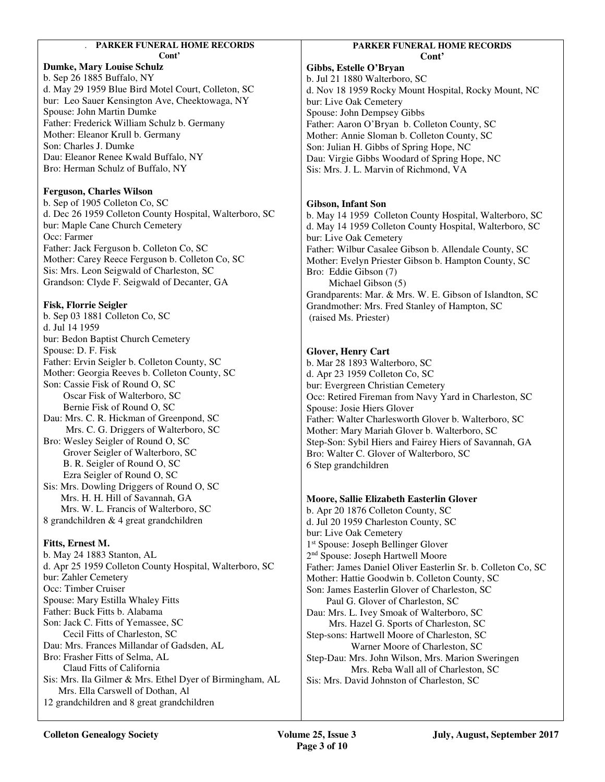## . **PARKER FUNERAL HOME RECORDS**

**Cont'** 

# **Dumke, Mary Louise Schulz**

b. Sep 26 1885 Buffalo, NY d. May 29 1959 Blue Bird Motel Court, Colleton, SC bur: Leo Sauer Kensington Ave, Cheektowaga, NY Spouse: John Martin Dumke Father: Frederick William Schulz b. Germany Mother: Eleanor Krull b. Germany Son: Charles J. Dumke Dau: Eleanor Renee Kwald Buffalo, NY Bro: Herman Schulz of Buffalo, NY

## **Ferguson, Charles Wilson**

b. Sep of 1905 Colleton Co, SC d. Dec 26 1959 Colleton County Hospital, Walterboro, SC bur: Maple Cane Church Cemetery Occ: Farmer Father: Jack Ferguson b. Colleton Co, SC Mother: Carey Reece Ferguson b. Colleton Co, SC Sis: Mrs. Leon Seigwald of Charleston, SC Grandson: Clyde F. Seigwald of Decanter, GA

## **Fisk, Florrie Seigler**

b. Sep 03 1881 Colleton Co, SC d. Jul 14 1959 bur: Bedon Baptist Church Cemetery Spouse: D. F. Fisk Father: Ervin Seigler b. Colleton County, SC Mother: Georgia Reeves b. Colleton County, SC Son: Cassie Fisk of Round O, SC Oscar Fisk of Walterboro, SC Bernie Fisk of Round O, SC Dau: Mrs. C. R. Hickman of Greenpond, SC Mrs. C. G. Driggers of Walterboro, SC Bro: Wesley Seigler of Round O, SC Grover Seigler of Walterboro, SC B. R. Seigler of Round O, SC Ezra Seigler of Round O, SC Sis: Mrs. Dowling Driggers of Round O, SC

 Mrs. H. H. Hill of Savannah, GA Mrs. W. L. Francis of Walterboro, SC 8 grandchildren & 4 great grandchildren

## **Fitts, Ernest M.**

b. May 24 1883 Stanton, AL d. Apr 25 1959 Colleton County Hospital, Walterboro, SC bur: Zahler Cemetery Occ: Timber Cruiser Spouse: Mary Estilla Whaley Fitts Father: Buck Fitts b. Alabama Son: Jack C. Fitts of Yemassee, SC Cecil Fitts of Charleston, SC Dau: Mrs. Frances Millandar of Gadsden, AL Bro: Frasher Fitts of Selma, AL Claud Fitts of California Sis: Mrs. Ila Gilmer & Mrs. Ethel Dyer of Birmingham, AL Mrs. Ella Carswell of Dothan, Al 12 grandchildren and 8 great grandchildren

## **PARKER FUNERAL HOME RECORDS Cont'**

**Gibbs, Estelle O'Bryan**  b. Jul 21 1880 Walterboro, SC d. Nov 18 1959 Rocky Mount Hospital, Rocky Mount, NC bur: Live Oak Cemetery Spouse: John Dempsey Gibbs Father: Aaron O'Bryan b. Colleton County, SC Mother: Annie Sloman b. Colleton County, SC Son: Julian H. Gibbs of Spring Hope, NC Dau: Virgie Gibbs Woodard of Spring Hope, NC Sis: Mrs. J. L. Marvin of Richmond, VA

## **Gibson, Infant Son**

b. May 14 1959 Colleton County Hospital, Walterboro, SC d. May 14 1959 Colleton County Hospital, Walterboro, SC bur: Live Oak Cemetery Father: Wilbur Casalee Gibson b. Allendale County, SC Mother: Evelyn Priester Gibson b. Hampton County, SC Bro: Eddie Gibson (7) Michael Gibson (5) Grandparents: Mar. & Mrs. W. E. Gibson of Islandton, SC Grandmother: Mrs. Fred Stanley of Hampton, SC (raised Ms. Priester)

## **Glover, Henry Cart**

b. Mar 28 1893 Walterboro, SC d. Apr 23 1959 Colleton Co, SC bur: Evergreen Christian Cemetery Occ: Retired Fireman from Navy Yard in Charleston, SC Spouse: Josie Hiers Glover Father: Walter Charlesworth Glover b. Walterboro, SC Mother: Mary Mariah Glover b. Walterboro, SC Step-Son: Sybil Hiers and Fairey Hiers of Savannah, GA Bro: Walter C. Glover of Walterboro, SC 6 Step grandchildren

## **Moore, Sallie Elizabeth Easterlin Glover**

b. Apr 20 1876 Colleton County, SC d. Jul 20 1959 Charleston County, SC bur: Live Oak Cemetery 1 st Spouse: Joseph Bellinger Glover 2 nd Spouse: Joseph Hartwell Moore Father: James Daniel Oliver Easterlin Sr. b. Colleton Co, SC Mother: Hattie Goodwin b. Colleton County, SC Son: James Easterlin Glover of Charleston, SC Paul G. Glover of Charleston, SC Dau: Mrs. L. Ivey Smoak of Walterboro, SC Mrs. Hazel G. Sports of Charleston, SC Step-sons: Hartwell Moore of Charleston, SC Warner Moore of Charleston, SC Step-Dau: Mrs. John Wilson, Mrs. Marion Sweringen Mrs. Reba Wall all of Charleston, SC Sis: Mrs. David Johnston of Charleston, SC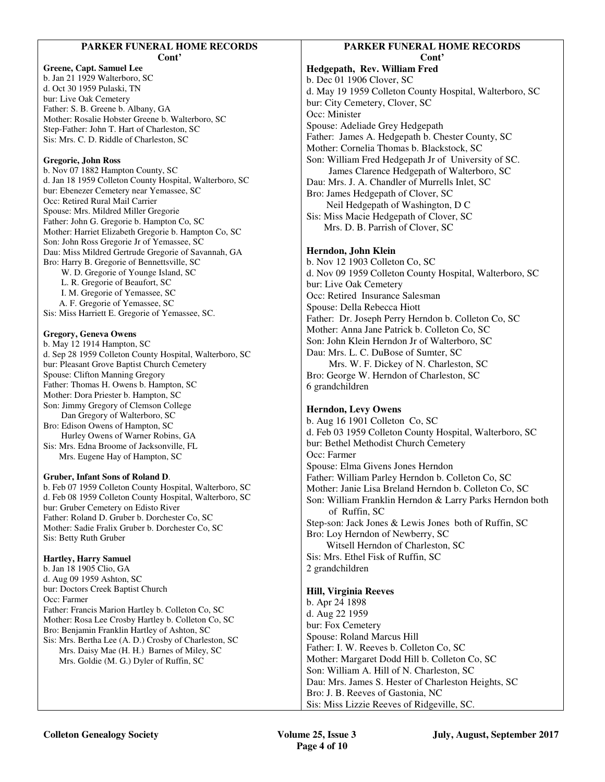# **PARKER FUNERAL HOME RECORDS**

**Cont'** 

**Greene, Capt. Samuel Lee**  b. Jan 21 1929 Walterboro, SC d. Oct 30 1959 Pulaski, TN bur: Live Oak Cemetery Father: S. B. Greene b. Albany, GA Mother: Rosalie Hobster Greene b. Walterboro, SC Step-Father: John T. Hart of Charleston, SC Sis: Mrs. C. D. Riddle of Charleston, SC

#### **Gregorie, John Ross**

b. Nov 07 1882 Hampton County, SC d. Jan 18 1959 Colleton County Hospital, Walterboro, SC bur: Ebenezer Cemetery near Yemassee, SC Occ: Retired Rural Mail Carrier Spouse: Mrs. Mildred Miller Gregorie Father: John G. Gregorie b. Hampton Co, SC Mother: Harriet Elizabeth Gregorie b. Hampton Co, SC Son: John Ross Gregorie Jr of Yemassee, SC Dau: Miss Mildred Gertrude Gregorie of Savannah, GA Bro: Harry B. Gregorie of Bennettsville, SC W. D. Gregorie of Younge Island, SC L. R. Gregorie of Beaufort, SC I. M. Gregorie of Yemassee, SC A. F. Gregorie of Yemassee, SC

Sis: Miss Harriett E. Gregorie of Yemassee, SC.

## **Gregory, Geneva Owens**

b. May 12 1914 Hampton, SC d. Sep 28 1959 Colleton County Hospital, Walterboro, SC bur: Pleasant Grove Baptist Church Cemetery Spouse: Clifton Manning Gregory Father: Thomas H. Owens b. Hampton, SC Mother: Dora Priester b. Hampton, SC Son: Jimmy Gregory of Clemson College Dan Gregory of Walterboro, SC Bro: Edison Owens of Hampton, SC Hurley Owens of Warner Robins, GA Sis: Mrs. Edna Broome of Jacksonville, FL

Mrs. Eugene Hay of Hampton, SC

#### **Gruber, Infant Sons of Roland D**.

b. Feb 07 1959 Colleton County Hospital, Walterboro, SC d. Feb 08 1959 Colleton County Hospital, Walterboro, SC bur: Gruber Cemetery on Edisto River Father: Roland D. Gruber b. Dorchester Co, SC Mother: Sadie Fralix Gruber b. Dorchester Co, SC Sis: Betty Ruth Gruber

#### **Hartley, Harry Samuel**

b. Jan 18 1905 Clio, GA d. Aug 09 1959 Ashton, SC bur: Doctors Creek Baptist Church Occ: Farmer Father: Francis Marion Hartley b. Colleton Co, SC Mother: Rosa Lee Crosby Hartley b. Colleton Co, SC Bro: Benjamin Franklin Hartley of Ashton, SC Sis: Mrs. Bertha Lee (A. D.) Crosby of Charleston, SC Mrs. Daisy Mae (H. H.) Barnes of Miley, SC

Mrs. Goldie (M. G.) Dyler of Ruffin, SC

## **PARKER FUNERAL HOME RECORDS Cont'**

**Hedgepath, Rev. William Fred**  b. Dec 01 1906 Clover, SC d. May 19 1959 Colleton County Hospital, Walterboro, SC bur: City Cemetery, Clover, SC Occ: Minister Spouse: Adeliade Grey Hedgepath Father: James A. Hedgepath b. Chester County, SC Mother: Cornelia Thomas b. Blackstock, SC Son: William Fred Hedgepath Jr of University of SC. James Clarence Hedgepath of Walterboro, SC Dau: Mrs. J. A. Chandler of Murrells Inlet, SC Bro: James Hedgepath of Clover, SC Neil Hedgepath of Washington, D C Sis: Miss Macie Hedgepath of Clover, SC Mrs. D. B. Parrish of Clover, SC **Herndon, John Klein**  b. Nov 12 1903 Colleton Co, SC d. Nov 09 1959 Colleton County Hospital, Walterboro, SC bur: Live Oak Cemetery

Occ: Retired Insurance Salesman

Spouse: Della Rebecca Hiott

Father: Dr. Joseph Perry Herndon b. Colleton Co, SC

Mother: Anna Jane Patrick b. Colleton Co, SC

Son: John Klein Herndon Jr of Walterboro, SC

Dau: Mrs. L. C. DuBose of Sumter, SC

 Mrs. W. F. Dickey of N. Charleston, SC Bro: George W. Herndon of Charleston, SC 6 grandchildren

## **Herndon, Levy Owens**

b. Aug 16 1901 Colleton Co, SC d. Feb 03 1959 Colleton County Hospital, Walterboro, SC bur: Bethel Methodist Church Cemetery Occ: Farmer Spouse: Elma Givens Jones Herndon Father: William Parley Herndon b. Colleton Co, SC Mother: Janie Lisa Breland Herndon b. Colleton Co, SC Son: William Franklin Herndon & Larry Parks Herndon both of Ruffin, SC Step-son: Jack Jones & Lewis Jones both of Ruffin, SC Bro: Loy Herndon of Newberry, SC Witsell Herndon of Charleston, SC Sis: Mrs. Ethel Fisk of Ruffin, SC

2 grandchildren

## **Hill, Virginia Reeves**

b. Apr 24 1898 d. Aug 22 1959 bur: Fox Cemetery Spouse: Roland Marcus Hill Father: I. W. Reeves b. Colleton Co, SC Mother: Margaret Dodd Hill b. Colleton Co, SC Son: William A. Hill of N. Charleston, SC Dau: Mrs. James S. Hester of Charleston Heights, SC Bro: J. B. Reeves of Gastonia, NC Sis: Miss Lizzie Reeves of Ridgeville, SC.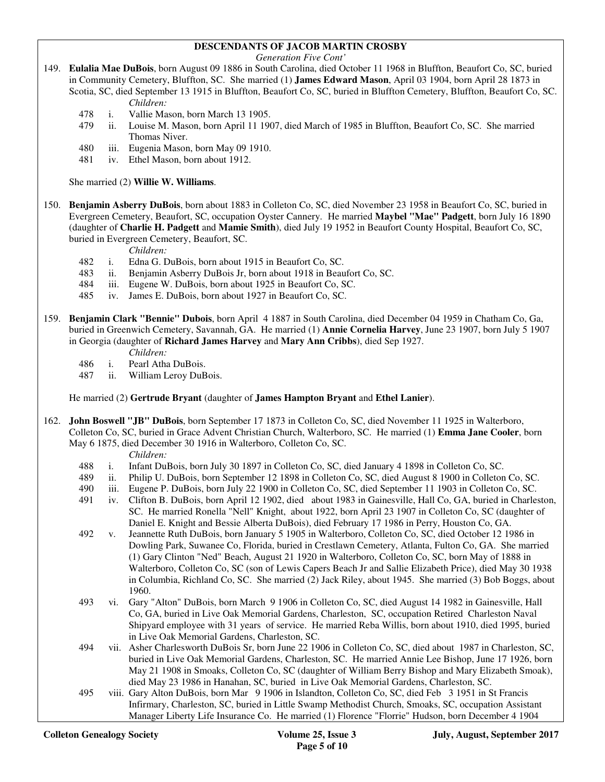## **DESCENDANTS OF JACOB MARTIN CROSBY**

*Generation Five Cont'* 

- 149. **Eulalia Mae DuBois**, born August 09 1886 in South Carolina, died October 11 1968 in Bluffton, Beaufort Co, SC, buried in Community Cemetery, Bluffton, SC. She married (1) **James Edward Mason**, April 03 1904, born April 28 1873 in Scotia, SC, died September 13 1915 in Bluffton, Beaufort Co, SC, buried in Bluffton Cemetery, Bluffton, Beaufort Co, SC. *Children:*
	- 478 i. Vallie Mason, born March 13 1905.
	- 479 ii. Louise M. Mason, born April 11 1907, died March of 1985 in Bluffton, Beaufort Co, SC. She married Thomas Niver.
	- 480 iii. Eugenia Mason, born May 09 1910.
	- 481 iv. Ethel Mason, born about 1912.

She married (2) **Willie W. Williams**.

150. **Benjamin Asberry DuBois**, born about 1883 in Colleton Co, SC, died November 23 1958 in Beaufort Co, SC, buried in Evergreen Cemetery, Beaufort, SC, occupation Oyster Cannery. He married **Maybel "Mae" Padgett**, born July 16 1890 (daughter of **Charlie H. Padgett** and **Mamie Smith**), died July 19 1952 in Beaufort County Hospital, Beaufort Co, SC, buried in Evergreen Cemetery, Beaufort, SC.

*Children:*

- 482 i. Edna G. DuBois, born about 1915 in Beaufort Co, SC.
- 483 ii. Benjamin Asberry DuBois Jr, born about 1918 in Beaufort Co, SC.
- 484 iii. Eugene W. DuBois, born about 1925 in Beaufort Co, SC.
- 485 iv. James E. DuBois, born about 1927 in Beaufort Co, SC.
- 159. **Benjamin Clark "Bennie" Dubois**, born April 4 1887 in South Carolina, died December 04 1959 in Chatham Co, Ga, buried in Greenwich Cemetery, Savannah, GA. He married (1) **Annie Cornelia Harvey**, June 23 1907, born July 5 1907 in Georgia (daughter of **Richard James Harvey** and **Mary Ann Cribbs**), died Sep 1927.
	- *Children:*
	- 486 i. Pearl Atha DuBois.
	- 487 ii. William Leroy DuBois.

He married (2) **Gertrude Bryant** (daughter of **James Hampton Bryant** and **Ethel Lanier**).

- 162. **John Boswell "JB" DuBois**, born September 17 1873 in Colleton Co, SC, died November 11 1925 in Walterboro, Colleton Co, SC, buried in Grace Advent Christian Church, Walterboro, SC. He married (1) **Emma Jane Cooler**, born May 6 1875, died December 30 1916 in Walterboro, Colleton Co, SC.
	- *Children:*
	- 488 i. Infant DuBois, born July 30 1897 in Colleton Co, SC, died January 4 1898 in Colleton Co, SC.
	- 489 ii. Philip U. DuBois, born September 12 1898 in Colleton Co, SC, died August 8 1900 in Colleton Co, SC. 490 in Culeton Co, SC.
	- iii. Eugene P. DuBois, born July 22 1900 in Colleton Co, SC, died September 11 1903 in Colleton Co, SC.
	- 491 iv. Clifton B. DuBois, born April 12 1902, died about 1983 in Gainesville, Hall Co, GA, buried in Charleston, SC. He married Ronella "Nell" Knight, about 1922, born April 23 1907 in Colleton Co, SC (daughter of Daniel E. Knight and Bessie Alberta DuBois), died February 17 1986 in Perry, Houston Co, GA.
	- 492 v. Jeannette Ruth DuBois, born January 5 1905 in Walterboro, Colleton Co, SC, died October 12 1986 in Dowling Park, Suwanee Co, Florida, buried in Crestlawn Cemetery, Atlanta, Fulton Co, GA. She married (1) Gary Clinton "Ned" Beach, August 21 1920 in Walterboro, Colleton Co, SC, born May of 1888 in Walterboro, Colleton Co, SC (son of Lewis Capers Beach Jr and Sallie Elizabeth Price), died May 30 1938 in Columbia, Richland Co, SC. She married (2) Jack Riley, about 1945. She married (3) Bob Boggs, about 1960.
	- 493 vi. Gary "Alton" DuBois, born March 9 1906 in Colleton Co, SC, died August 14 1982 in Gainesville, Hall Co, GA, buried in Live Oak Memorial Gardens, Charleston, SC, occupation Retired Charleston Naval Shipyard employee with 31 years of service. He married Reba Willis, born about 1910, died 1995, buried in Live Oak Memorial Gardens, Charleston, SC.
	- 494 vii. Asher Charlesworth DuBois Sr, born June 22 1906 in Colleton Co, SC, died about 1987 in Charleston, SC, buried in Live Oak Memorial Gardens, Charleston, SC. He married Annie Lee Bishop, June 17 1926, born May 21 1908 in Smoaks, Colleton Co, SC (daughter of William Berry Bishop and Mary Elizabeth Smoak), died May 23 1986 in Hanahan, SC, buried in Live Oak Memorial Gardens, Charleston, SC.
	- 495 viii. Gary Alton DuBois, born Mar 9 1906 in Islandton, Colleton Co, SC, died Feb 3 1951 in St Francis Infirmary, Charleston, SC, buried in Little Swamp Methodist Church, Smoaks, SC, occupation Assistant Manager Liberty Life Insurance Co. He married (1) Florence "Florrie" Hudson, born December 4 1904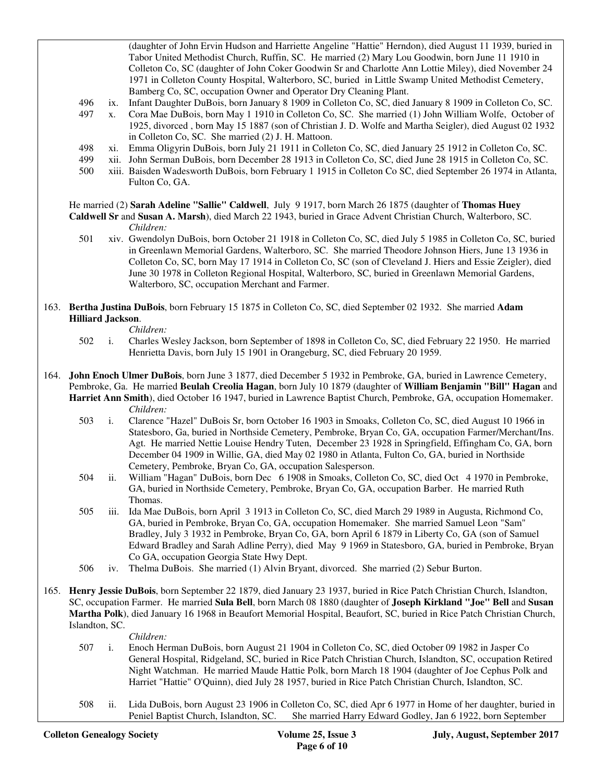(daughter of John Ervin Hudson and Harriette Angeline "Hattie" Herndon), died August 11 1939, buried in Tabor United Methodist Church, Ruffin, SC. He married (2) Mary Lou Goodwin, born June 11 1910 in Colleton Co, SC (daughter of John Coker Goodwin Sr and Charlotte Ann Lottie Miley), died November 24 1971 in Colleton County Hospital, Walterboro, SC, buried in Little Swamp United Methodist Cemetery, Bamberg Co, SC, occupation Owner and Operator Dry Cleaning Plant.

- 496 ix. Infant Daughter DuBois, born January 8 1909 in Colleton Co, SC, died January 8 1909 in Colleton Co, SC.
- 497 x. Cora Mae DuBois, born May 1 1910 in Colleton Co, SC. She married (1) John William Wolfe, October of 1925, divorced , born May 15 1887 (son of Christian J. D. Wolfe and Martha Seigler), died August 02 1932 in Colleton Co, SC. She married (2) J. H. Mattoon.
- 498 xi. Emma Oligyrin DuBois, born July 21 1911 in Colleton Co, SC, died January 25 1912 in Colleton Co, SC.
- 499 xii. John Serman DuBois, born December 28 1913 in Colleton Co, SC, died June 28 1915 in Colleton Co, SC.
- 500 xiii. Baisden Wadesworth DuBois, born February 1 1915 in Colleton Co SC, died September 26 1974 in Atlanta, Fulton Co, GA.

# He married (2) **Sarah Adeline "Sallie" Caldwell**, July 9 1917, born March 26 1875 (daughter of **Thomas Huey**

- **Caldwell Sr** and **Susan A. Marsh**), died March 22 1943, buried in Grace Advent Christian Church, Walterboro, SC. *Children:*
	- 501 xiv. Gwendolyn DuBois, born October 21 1918 in Colleton Co, SC, died July 5 1985 in Colleton Co, SC, buried in Greenlawn Memorial Gardens, Walterboro, SC. She married Theodore Johnson Hiers, June 13 1936 in Colleton Co, SC, born May 17 1914 in Colleton Co, SC (son of Cleveland J. Hiers and Essie Zeigler), died June 30 1978 in Colleton Regional Hospital, Walterboro, SC, buried in Greenlawn Memorial Gardens, Walterboro, SC, occupation Merchant and Farmer.
- 163. **Bertha Justina DuBois**, born February 15 1875 in Colleton Co, SC, died September 02 1932. She married **Adam Hilliard Jackson**.

*Children:*

- 502 i. Charles Wesley Jackson, born September of 1898 in Colleton Co, SC, died February 22 1950. He married Henrietta Davis, born July 15 1901 in Orangeburg, SC, died February 20 1959.
- 164. **John Enoch Ulmer DuBois**, born June 3 1877, died December 5 1932 in Pembroke, GA, buried in Lawrence Cemetery, Pembroke, Ga. He married **Beulah Creolia Hagan**, born July 10 1879 (daughter of **William Benjamin "Bill" Hagan** and **Harriet Ann Smith**), died October 16 1947, buried in Lawrence Baptist Church, Pembroke, GA, occupation Homemaker. *Children:*
	- 503 i. Clarence "Hazel" DuBois Sr, born October 16 1903 in Smoaks, Colleton Co, SC, died August 10 1966 in Statesboro, Ga, buried in Northside Cemetery, Pembroke, Bryan Co, GA, occupation Farmer/Merchant/Ins. Agt. He married Nettie Louise Hendry Tuten, December 23 1928 in Springfield, Effingham Co, GA, born December 04 1909 in Willie, GA, died May 02 1980 in Atlanta, Fulton Co, GA, buried in Northside Cemetery, Pembroke, Bryan Co, GA, occupation Salesperson.
	- 504 ii. William "Hagan" DuBois, born Dec 6 1908 in Smoaks, Colleton Co, SC, died Oct 4 1970 in Pembroke, GA, buried in Northside Cemetery, Pembroke, Bryan Co, GA, occupation Barber. He married Ruth Thomas.
	- 505 iii. Ida Mae DuBois, born April 3 1913 in Colleton Co, SC, died March 29 1989 in Augusta, Richmond Co, GA, buried in Pembroke, Bryan Co, GA, occupation Homemaker. She married Samuel Leon "Sam" Bradley, July 3 1932 in Pembroke, Bryan Co, GA, born April 6 1879 in Liberty Co, GA (son of Samuel Edward Bradley and Sarah Adline Perry), died May 9 1969 in Statesboro, GA, buried in Pembroke, Bryan Co GA, occupation Georgia State Hwy Dept.
	- 506 iv. Thelma DuBois. She married (1) Alvin Bryant, divorced. She married (2) Sebur Burton.
- 165. **Henry Jessie DuBois**, born September 22 1879, died January 23 1937, buried in Rice Patch Christian Church, Islandton, SC, occupation Farmer. He married **Sula Bell**, born March 08 1880 (daughter of **Joseph Kirkland "Joe" Bell** and **Susan Martha Polk**), died January 16 1968 in Beaufort Memorial Hospital, Beaufort, SC, buried in Rice Patch Christian Church, Islandton, SC.

#### *Children:*

- 507 i. Enoch Herman DuBois, born August 21 1904 in Colleton Co, SC, died October 09 1982 in Jasper Co General Hospital, Ridgeland, SC, buried in Rice Patch Christian Church, Islandton, SC, occupation Retired Night Watchman. He married Maude Hattie Polk, born March 18 1904 (daughter of Joe Cephus Polk and Harriet "Hattie" O'Quinn), died July 28 1957, buried in Rice Patch Christian Church, Islandton, SC.
- 508 ii. Lida DuBois, born August 23 1906 in Colleton Co, SC, died Apr 6 1977 in Home of her daughter, buried in Peniel Baptist Church, Islandton, SC. She married Harry Edward Godley, Jan 6 1922, born September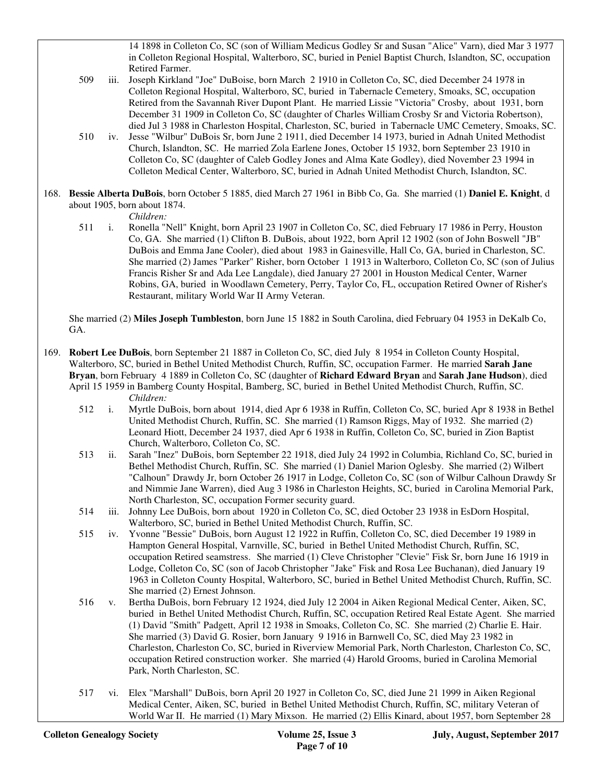14 1898 in Colleton Co, SC (son of William Medicus Godley Sr and Susan "Alice" Varn), died Mar 3 1977 in Colleton Regional Hospital, Walterboro, SC, buried in Peniel Baptist Church, Islandton, SC, occupation Retired Farmer.

- 509 iii. Joseph Kirkland "Joe" DuBoise, born March 2 1910 in Colleton Co, SC, died December 24 1978 in Colleton Regional Hospital, Walterboro, SC, buried in Tabernacle Cemetery, Smoaks, SC, occupation Retired from the Savannah River Dupont Plant. He married Lissie "Victoria" Crosby, about 1931, born December 31 1909 in Colleton Co, SC (daughter of Charles William Crosby Sr and Victoria Robertson), died Jul 3 1988 in Charleston Hospital, Charleston, SC, buried in Tabernacle UMC Cemetery, Smoaks, SC.
- 510 iv. Jesse "Wilbur" DuBois Sr, born June 2 1911, died December 14 1973, buried in Adnah United Methodist Church, Islandton, SC. He married Zola Earlene Jones, October 15 1932, born September 23 1910 in Colleton Co, SC (daughter of Caleb Godley Jones and Alma Kate Godley), died November 23 1994 in Colleton Medical Center, Walterboro, SC, buried in Adnah United Methodist Church, Islandton, SC.
- 168. **Bessie Alberta DuBois**, born October 5 1885, died March 27 1961 in Bibb Co, Ga. She married (1) **Daniel E. Knight**, d about 1905, born about 1874.

*Children:*

 511 i. Ronella "Nell" Knight, born April 23 1907 in Colleton Co, SC, died February 17 1986 in Perry, Houston Co, GA. She married (1) Clifton B. DuBois, about 1922, born April 12 1902 (son of John Boswell "JB" DuBois and Emma Jane Cooler), died about 1983 in Gainesville, Hall Co, GA, buried in Charleston, SC. She married (2) James "Parker" Risher, born October 1 1913 in Walterboro, Colleton Co, SC (son of Julius Francis Risher Sr and Ada Lee Langdale), died January 27 2001 in Houston Medical Center, Warner Robins, GA, buried in Woodlawn Cemetery, Perry, Taylor Co, FL, occupation Retired Owner of Risher's Restaurant, military World War II Army Veteran.

 She married (2) **Miles Joseph Tumbleston**, born June 15 1882 in South Carolina, died February 04 1953 in DeKalb Co, GA.

169. **Robert Lee DuBois**, born September 21 1887 in Colleton Co, SC, died July 8 1954 in Colleton County Hospital, Walterboro, SC, buried in Bethel United Methodist Church, Ruffin, SC, occupation Farmer. He married **Sarah Jane Bryan**, born February 4 1889 in Colleton Co, SC (daughter of **Richard Edward Bryan** and **Sarah Jane Hudson**), died April 15 1959 in Bamberg County Hospital, Bamberg, SC, buried in Bethel United Methodist Church, Ruffin, SC. *Children:*

- 512 i. Myrtle DuBois, born about 1914, died Apr 6 1938 in Ruffin, Colleton Co, SC, buried Apr 8 1938 in Bethel United Methodist Church, Ruffin, SC. She married (1) Ramson Riggs, May of 1932. She married (2) Leonard Hiott, December 24 1937, died Apr 6 1938 in Ruffin, Colleton Co, SC, buried in Zion Baptist Church, Walterboro, Colleton Co, SC.
- 513 ii. Sarah "Inez" DuBois, born September 22 1918, died July 24 1992 in Columbia, Richland Co, SC, buried in Bethel Methodist Church, Ruffin, SC. She married (1) Daniel Marion Oglesby. She married (2) Wilbert "Calhoun" Drawdy Jr, born October 26 1917 in Lodge, Colleton Co, SC (son of Wilbur Calhoun Drawdy Sr and Nimmie Jane Warren), died Aug 3 1986 in Charleston Heights, SC, buried in Carolina Memorial Park, North Charleston, SC, occupation Former security guard.
- 514 iii. Johnny Lee DuBois, born about 1920 in Colleton Co, SC, died October 23 1938 in EsDorn Hospital, Walterboro, SC, buried in Bethel United Methodist Church, Ruffin, SC.
- 515 iv. Yvonne "Bessie" DuBois, born August 12 1922 in Ruffin, Colleton Co, SC, died December 19 1989 in Hampton General Hospital, Varnville, SC, buried in Bethel United Methodist Church, Ruffin, SC, occupation Retired seamstress. She married (1) Cleve Christopher "Clevie" Fisk Sr, born June 16 1919 in Lodge, Colleton Co, SC (son of Jacob Christopher "Jake" Fisk and Rosa Lee Buchanan), died January 19 1963 in Colleton County Hospital, Walterboro, SC, buried in Bethel United Methodist Church, Ruffin, SC. She married (2) Ernest Johnson.
- 516 v. Bertha DuBois, born February 12 1924, died July 12 2004 in Aiken Regional Medical Center, Aiken, SC, buried in Bethel United Methodist Church, Ruffin, SC, occupation Retired Real Estate Agent. She married (1) David "Smith" Padgett, April 12 1938 in Smoaks, Colleton Co, SC. She married (2) Charlie E. Hair. She married (3) David G. Rosier, born January 9 1916 in Barnwell Co, SC, died May 23 1982 in Charleston, Charleston Co, SC, buried in Riverview Memorial Park, North Charleston, Charleston Co, SC, occupation Retired construction worker. She married (4) Harold Grooms, buried in Carolina Memorial Park, North Charleston, SC.
- 517 vi. Elex "Marshall" DuBois, born April 20 1927 in Colleton Co, SC, died June 21 1999 in Aiken Regional Medical Center, Aiken, SC, buried in Bethel United Methodist Church, Ruffin, SC, military Veteran of World War II. He married (1) Mary Mixson. He married (2) Ellis Kinard, about 1957, born September 28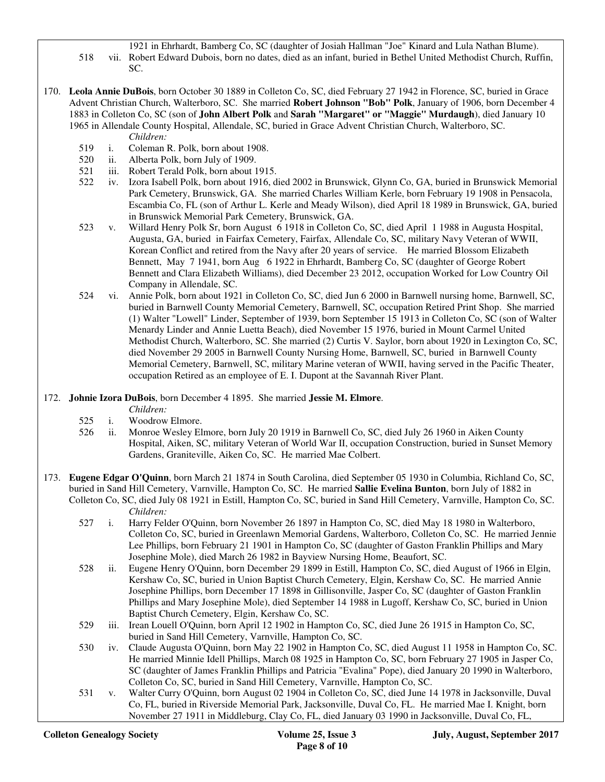- 1921 in Ehrhardt, Bamberg Co, SC (daughter of Josiah Hallman "Joe" Kinard and Lula Nathan Blume). 518 vii. Robert Edward Dubois, born no dates, died as an infant, buried in Bethel United Methodist Church, Ruffin, SC.
- 170. **Leola Annie DuBois**, born October 30 1889 in Colleton Co, SC, died February 27 1942 in Florence, SC, buried in Grace Advent Christian Church, Walterboro, SC. She married **Robert Johnson "Bob" Polk**, January of 1906, born December 4 1883 in Colleton Co, SC (son of **John Albert Polk** and **Sarah "Margaret" or "Maggie" Murdaugh**), died January 10 1965 in Allendale County Hospital, Allendale, SC, buried in Grace Advent Christian Church, Walterboro, SC. *Children:*
	- 519 i. Coleman R. Polk, born about 1908.
	- 520 ii. Alberta Polk, born July of 1909.
	- 521 iii. Robert Terald Polk, born about 1915.
	- 522 iv. Izora Isabell Polk, born about 1916, died 2002 in Brunswick, Glynn Co, GA, buried in Brunswick Memorial Park Cemetery, Brunswick, GA. She married Charles William Kerle, born February 19 1908 in Pensacola, Escambia Co, FL (son of Arthur L. Kerle and Meady Wilson), died April 18 1989 in Brunswick, GA, buried in Brunswick Memorial Park Cemetery, Brunswick, GA.
	- 523 v. Willard Henry Polk Sr, born August 6 1918 in Colleton Co, SC, died April 1 1988 in Augusta Hospital, Augusta, GA, buried in Fairfax Cemetery, Fairfax, Allendale Co, SC, military Navy Veteran of WWII, Korean Conflict and retired from the Navy after 20 years of service. He married Blossom Elizabeth Bennett, May 7 1941, born Aug 6 1922 in Ehrhardt, Bamberg Co, SC (daughter of George Robert Bennett and Clara Elizabeth Williams), died December 23 2012, occupation Worked for Low Country Oil Company in Allendale, SC.
	- 524 vi. Annie Polk, born about 1921 in Colleton Co, SC, died Jun 6 2000 in Barnwell nursing home, Barnwell, SC, buried in Barnwell County Memorial Cemetery, Barnwell, SC, occupation Retired Print Shop. She married (1) Walter "Lowell" Linder, September of 1939, born September 15 1913 in Colleton Co, SC (son of Walter Menardy Linder and Annie Luetta Beach), died November 15 1976, buried in Mount Carmel United Methodist Church, Walterboro, SC. She married (2) Curtis V. Saylor, born about 1920 in Lexington Co, SC, died November 29 2005 in Barnwell County Nursing Home, Barnwell, SC, buried in Barnwell County Memorial Cemetery, Barnwell, SC, military Marine veteran of WWII, having served in the Pacific Theater, occupation Retired as an employee of E. I. Dupont at the Savannah River Plant.
- 172. **Johnie Izora DuBois**, born December 4 1895. She married **Jessie M. Elmore**.
	- *Children:*
	- 525 i. Woodrow Elmore.
	- 526 ii. Monroe Wesley Elmore, born July 20 1919 in Barnwell Co, SC, died July 26 1960 in Aiken County Hospital, Aiken, SC, military Veteran of World War II, occupation Construction, buried in Sunset Memory Gardens, Graniteville, Aiken Co, SC. He married Mae Colbert.
- 173. **Eugene Edgar O'Quinn**, born March 21 1874 in South Carolina, died September 05 1930 in Columbia, Richland Co, SC, buried in Sand Hill Cemetery, Varnville, Hampton Co, SC. He married **Sallie Evelina Bunton**, born July of 1882 in Colleton Co, SC, died July 08 1921 in Estill, Hampton Co, SC, buried in Sand Hill Cemetery, Varnville, Hampton Co, SC. *Children:*
	- 527 i. Harry Felder O'Quinn, born November 26 1897 in Hampton Co, SC, died May 18 1980 in Walterboro, Colleton Co, SC, buried in Greenlawn Memorial Gardens, Walterboro, Colleton Co, SC. He married Jennie Lee Phillips, born February 21 1901 in Hampton Co, SC (daughter of Gaston Franklin Phillips and Mary Josephine Mole), died March 26 1982 in Bayview Nursing Home, Beaufort, SC.
	- 528 ii. Eugene Henry O'Quinn, born December 29 1899 in Estill, Hampton Co, SC, died August of 1966 in Elgin, Kershaw Co, SC, buried in Union Baptist Church Cemetery, Elgin, Kershaw Co, SC. He married Annie Josephine Phillips, born December 17 1898 in Gillisonville, Jasper Co, SC (daughter of Gaston Franklin Phillips and Mary Josephine Mole), died September 14 1988 in Lugoff, Kershaw Co, SC, buried in Union Baptist Church Cemetery, Elgin, Kershaw Co, SC.
	- 529 iii. Irean Louell O'Quinn, born April 12 1902 in Hampton Co, SC, died June 26 1915 in Hampton Co, SC, buried in Sand Hill Cemetery, Varnville, Hampton Co, SC.
	- 530 iv. Claude Augusta O'Quinn, born May 22 1902 in Hampton Co, SC, died August 11 1958 in Hampton Co, SC. He married Minnie Idell Phillips, March 08 1925 in Hampton Co, SC, born February 27 1905 in Jasper Co, SC (daughter of James Franklin Phillips and Patricia "Evalina" Pope), died January 20 1990 in Walterboro, Colleton Co, SC, buried in Sand Hill Cemetery, Varnville, Hampton Co, SC.
	- 531 v. Walter Curry O'Quinn, born August 02 1904 in Colleton Co, SC, died June 14 1978 in Jacksonville, Duval Co, FL, buried in Riverside Memorial Park, Jacksonville, Duval Co, FL. He married Mae I. Knight, born November 27 1911 in Middleburg, Clay Co, FL, died January 03 1990 in Jacksonville, Duval Co, FL,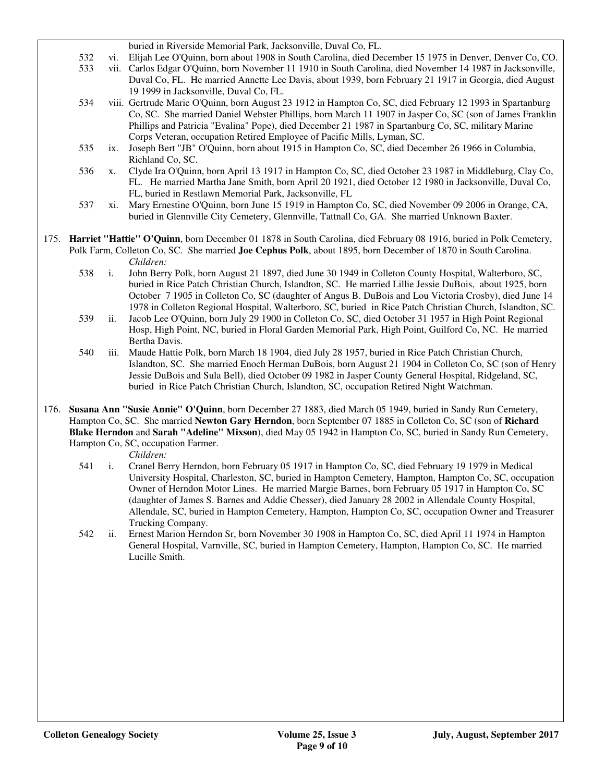buried in Riverside Memorial Park, Jacksonville, Duval Co, FL.

- 532 vi. Elijah Lee O'Quinn, born about 1908 in South Carolina, died December 15 1975 in Denver, Denver Co, CO. 533 vii. Carlos Edgar O'Quinn, born November 11 1910 in South Carolina, died November 14 1987 in Jacksonville, Duval Co, FL. He married Annette Lee Davis, about 1939, born February 21 1917 in Georgia, died August 19 1999 in Jacksonville, Duval Co, FL.
- 534 viii. Gertrude Marie O'Quinn, born August 23 1912 in Hampton Co, SC, died February 12 1993 in Spartanburg Co, SC. She married Daniel Webster Phillips, born March 11 1907 in Jasper Co, SC (son of James Franklin Phillips and Patricia "Evalina" Pope), died December 21 1987 in Spartanburg Co, SC, military Marine Corps Veteran, occupation Retired Employee of Pacific Mills, Lyman, SC.
- 535 ix. Joseph Bert "JB" O'Quinn, born about 1915 in Hampton Co, SC, died December 26 1966 in Columbia, Richland Co, SC.
- 536 x. Clyde Ira O'Quinn, born April 13 1917 in Hampton Co, SC, died October 23 1987 in Middleburg, Clay Co, FL. He married Martha Jane Smith, born April 20 1921, died October 12 1980 in Jacksonville, Duval Co, FL, buried in Restlawn Memorial Park, Jacksonville, FL
- 537 xi. Mary Ernestine O'Quinn, born June 15 1919 in Hampton Co, SC, died November 09 2006 in Orange, CA, buried in Glennville City Cemetery, Glennville, Tattnall Co, GA. She married Unknown Baxter.
- 175. **Harriet "Hattie" O'Quinn**, born December 01 1878 in South Carolina, died February 08 1916, buried in Polk Cemetery, Polk Farm, Colleton Co, SC. She married **Joe Cephus Polk**, about 1895, born December of 1870 in South Carolina. *Children:*
	- 538 i. John Berry Polk, born August 21 1897, died June 30 1949 in Colleton County Hospital, Walterboro, SC, buried in Rice Patch Christian Church, Islandton, SC. He married Lillie Jessie DuBois, about 1925, born October 7 1905 in Colleton Co, SC (daughter of Angus B. DuBois and Lou Victoria Crosby), died June 14 1978 in Colleton Regional Hospital, Walterboro, SC, buried in Rice Patch Christian Church, Islandton, SC.
	- 539 ii. Jacob Lee O'Quinn, born July 29 1900 in Colleton Co, SC, died October 31 1957 in High Point Regional Hosp, High Point, NC, buried in Floral Garden Memorial Park, High Point, Guilford Co, NC. He married Bertha Davis.
	- 540 iii. Maude Hattie Polk, born March 18 1904, died July 28 1957, buried in Rice Patch Christian Church, Islandton, SC. She married Enoch Herman DuBois, born August 21 1904 in Colleton Co, SC (son of Henry Jessie DuBois and Sula Bell), died October 09 1982 in Jasper County General Hospital, Ridgeland, SC, buried in Rice Patch Christian Church, Islandton, SC, occupation Retired Night Watchman.
- 176. **Susana Ann "Susie Annie" O'Quinn**, born December 27 1883, died March 05 1949, buried in Sandy Run Cemetery, Hampton Co, SC. She married **Newton Gary Herndon**, born September 07 1885 in Colleton Co, SC (son of **Richard Blake Herndon** and **Sarah "Adeline" Mixson**), died May 05 1942 in Hampton Co, SC, buried in Sandy Run Cemetery, Hampton Co, SC, occupation Farmer.

*Children:*

- 541 i. Cranel Berry Herndon, born February 05 1917 in Hampton Co, SC, died February 19 1979 in Medical University Hospital, Charleston, SC, buried in Hampton Cemetery, Hampton, Hampton Co, SC, occupation Owner of Herndon Motor Lines. He married Margie Barnes, born February 05 1917 in Hampton Co, SC (daughter of James S. Barnes and Addie Chesser), died January 28 2002 in Allendale County Hospital, Allendale, SC, buried in Hampton Cemetery, Hampton, Hampton Co, SC, occupation Owner and Treasurer Trucking Company.
- 542 ii. Ernest Marion Herndon Sr, born November 30 1908 in Hampton Co, SC, died April 11 1974 in Hampton General Hospital, Varnville, SC, buried in Hampton Cemetery, Hampton, Hampton Co, SC. He married Lucille Smith.